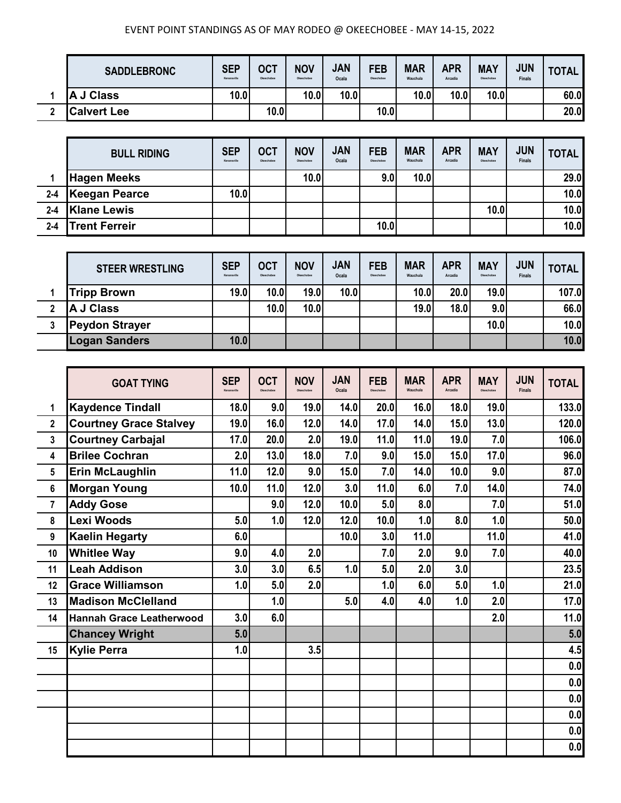| <b>SADDLEBRONC</b> | <b>SEP</b><br>Kenansville | <b>OCT</b><br>Okeechobee | <b>NOV</b><br>Okeechobee | <b>JAN</b><br>Ocala | <b>FEB</b><br>Okeechobee | <b>MAR</b><br>Wauchula | <b>APR</b><br>Arcadia | <b>MAY</b><br>Okeechobee | <b>JUN</b><br><b>Finals</b> | <b>TOTAL</b> |
|--------------------|---------------------------|--------------------------|--------------------------|---------------------|--------------------------|------------------------|-----------------------|--------------------------|-----------------------------|--------------|
| J Class<br>ΙA      | 10.0                      |                          | 10.0                     | 10.0                |                          | 10.0                   | 10.0                  | 10.0                     |                             | 60.0         |
| <b>Calvert Lee</b> |                           | 10.0                     |                          |                     | 10.0                     |                        |                       |                          |                             | 20.0         |

|         | <b>BULL RIDING</b>   | <b>SEP</b><br>Kenansville | <b>OCT</b><br>Okeechobee | <b>NOV</b><br>Okeechobee | <b>JAN</b><br>Ocala | <b>FEB</b><br>Okeechobee | <b>MAR</b><br>Wauchula | <b>APR</b><br>Arcadia | <b>MAY</b><br>Okeechobee | <b>JUN</b><br><b>Finals</b> | <b>TOTAL</b> |
|---------|----------------------|---------------------------|--------------------------|--------------------------|---------------------|--------------------------|------------------------|-----------------------|--------------------------|-----------------------------|--------------|
|         | <b>Hagen Meeks</b>   |                           |                          | 10.0                     |                     | 9.0                      | 10.0                   |                       |                          |                             | 29.0         |
| $2 - 4$ | Keegan Pearce        | 10.0                      |                          |                          |                     |                          |                        |                       |                          |                             | 10.0         |
| $2 - 4$ | <b>Klane Lewis</b>   |                           |                          |                          |                     |                          |                        |                       | 10.0                     |                             | 10.0         |
| $2 - 4$ | <b>Trent Ferreir</b> |                           |                          |                          |                     | 10.0                     |                        |                       |                          |                             | 10.0         |

| <b>STEER WRESTLING</b> | <b>SEP</b><br>Kenansville | <b>OCT</b><br>Okeechobee | <b>NOV</b><br>Okeechobee | <b>JAN</b><br>Ocala | <b>FEB</b><br>Okeechobee | <b>MAR</b><br>Wauchula | <b>APR</b><br>Arcadia | <b>MAY</b><br>Okeechobee | <b>JUN</b><br><b>Finals</b> | <b>TOTAL</b> |
|------------------------|---------------------------|--------------------------|--------------------------|---------------------|--------------------------|------------------------|-----------------------|--------------------------|-----------------------------|--------------|
| <b>Tripp Brown</b>     | <b>19.0</b>               | 10.0                     | 19.0                     | 10.0                |                          | 10.0                   | 20.0                  | 19.0                     |                             | 107.0        |
| A J Class              |                           | 10.0                     | 10.0                     |                     |                          | 19.0                   | 18.0                  | 9.0                      |                             | 66.0         |
| <b>Peydon Strayer</b>  |                           |                          |                          |                     |                          |                        |                       | 10.0                     |                             | 10.0         |
| <b>Logan Sanders</b>   | 10.0                      |                          |                          |                     |                          |                        |                       |                          |                             | 10.0         |

|                | <b>GOAT TYING</b>               | <b>SEP</b><br>Kenansville | <b>OCT</b><br>Okeechobee | <b>NOV</b><br>Okeachobee | <b>JAN</b><br>Ocala | <b>FEB</b><br>Okeechobee | <b>MAR</b><br>Wauchula | <b>APR</b><br>Arcadia | <b>MAY</b><br>Okeechobee | <b>JUN</b><br><b>Finals</b> | <b>TOTAL</b> |
|----------------|---------------------------------|---------------------------|--------------------------|--------------------------|---------------------|--------------------------|------------------------|-----------------------|--------------------------|-----------------------------|--------------|
| 1              | <b>Kaydence Tindall</b>         | 18.0                      | 9.0                      | 19.0                     | 14.0                | 20.0                     | 16.0                   | 18.0                  | 19.0                     |                             | 133.0        |
| $\mathbf{2}$   | <b>Courtney Grace Stalvey</b>   | 19.0                      | 16.0                     | 12.0                     | 14.0                | 17.0                     | 14.0                   | 15.0                  | 13.0                     |                             | 120.0        |
| $\mathbf{3}$   | <b>Courtney Carbajal</b>        | 17.0                      | 20.0                     | 2.0                      | 19.0                | 11.0                     | 11.0                   | 19.0                  | 7.0                      |                             | 106.0        |
| 4              | <b>Brilee Cochran</b>           | 2.0                       | 13.0                     | 18.0                     | 7.0                 | 9.0                      | 15.0                   | 15.0                  | 17.0                     |                             | 96.0         |
| 5              | <b>Erin McLaughlin</b>          | 11.0                      | 12.0                     | 9.0                      | 15.0                | 7.0                      | 14.0                   | 10.0                  | 9.0                      |                             | 87.0         |
| 6              | <b>Morgan Young</b>             | 10.0                      | 11.0                     | 12.0                     | 3.0                 | 11.0                     | 6.0                    | 7.0                   | 14.0                     |                             | 74.0         |
| $\overline{7}$ | <b>Addy Gose</b>                |                           | 9.0                      | 12.0                     | 10.0                | 5.0                      | 8.0                    |                       | 7.0                      |                             | 51.0         |
| 8              | Lexi Woods                      | 5.0                       | 1.0                      | 12.0                     | 12.0                | 10.0                     | 1.0                    | 8.0                   | 1.0                      |                             | 50.0         |
| 9              | <b>Kaelin Hegarty</b>           | 6.0                       |                          |                          | 10.0                | 3.0                      | 11.0                   |                       | 11.0                     |                             | 41.0         |
| 10             | <b>Whitlee Way</b>              | 9.0                       | 4.0                      | 2.0                      |                     | 7.0                      | 2.0                    | 9.0                   | 7.0                      |                             | 40.0         |
| 11             | <b>Leah Addison</b>             | 3.0                       | 3.0                      | 6.5                      | 1.0                 | 5.0                      | 2.0                    | 3.0                   |                          |                             | 23.5         |
| 12             | <b>Grace Williamson</b>         | 1.0                       | 5.0                      | 2.0                      |                     | 1.0                      | 6.0                    | 5.0                   | 1.0                      |                             | 21.0         |
| 13             | <b>Madison McClelland</b>       |                           | 1.0                      |                          | 5.0                 | 4.0                      | 4.0                    | 1.0                   | 2.0                      |                             | 17.0         |
| 14             | <b>Hannah Grace Leatherwood</b> | 3.0                       | 6.0                      |                          |                     |                          |                        |                       | 2.0                      |                             | 11.0         |
|                | <b>Chancey Wright</b>           | 5.0                       |                          |                          |                     |                          |                        |                       |                          |                             | 5.0          |
| 15             | <b>Kylie Perra</b>              | 1.0                       |                          | 3.5                      |                     |                          |                        |                       |                          |                             | 4.5          |
|                |                                 |                           |                          |                          |                     |                          |                        |                       |                          |                             | 0.0          |
|                |                                 |                           |                          |                          |                     |                          |                        |                       |                          |                             | 0.0          |
|                |                                 |                           |                          |                          |                     |                          |                        |                       |                          |                             | 0.0          |
|                |                                 |                           |                          |                          |                     |                          |                        |                       |                          |                             | 0.0          |
|                |                                 |                           |                          |                          |                     |                          |                        |                       |                          |                             | 0.0          |
|                |                                 |                           |                          |                          |                     |                          |                        |                       |                          |                             | 0.0          |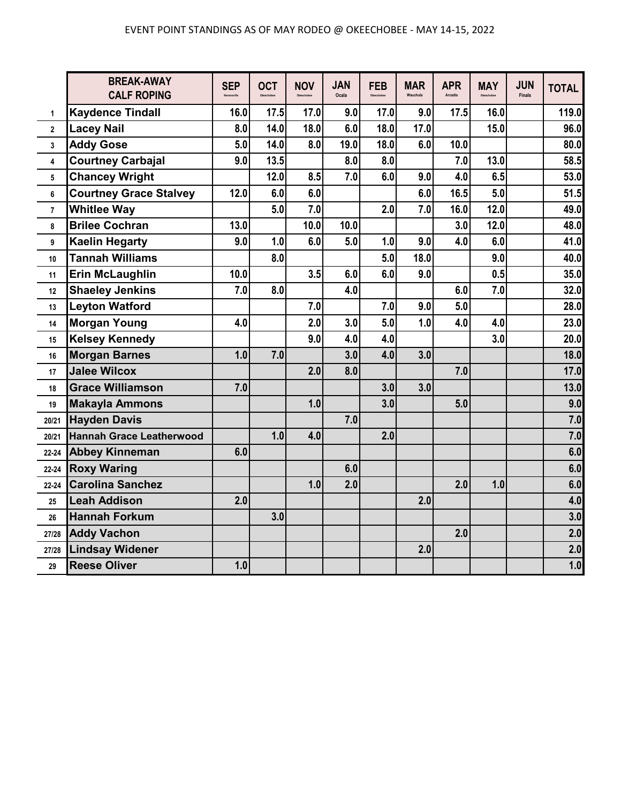|                | <b>BREAK-AWAY</b><br><b>CALF ROPING</b> | <b>SEP</b><br>Kenansville | <b>OCT</b><br>Okeechober | <b>NOV</b><br>Okeechobee | <b>JAN</b><br>Ocala | <b>FEB</b> | <b>MAR</b><br>Wauchula | <b>APR</b><br>Arcadia | <b>MAY</b> | <b>JUN</b><br><b>Finals</b> | <b>TOTAL</b> |
|----------------|-----------------------------------------|---------------------------|--------------------------|--------------------------|---------------------|------------|------------------------|-----------------------|------------|-----------------------------|--------------|
| 1              | <b>Kaydence Tindall</b>                 | 16.0                      | 17.5                     | 17.0                     | 9.0                 | 17.0       | 9.0                    | 17.5                  | 16.0       |                             | 119.0        |
| $\overline{2}$ | <b>Lacey Nail</b>                       | 8.0                       | 14.0                     | 18.0                     | 6.0                 | 18.0       | 17.0                   |                       | 15.0       |                             | 96.0         |
| 3              | <b>Addy Gose</b>                        | 5.0                       | 14.0                     | 8.0                      | 19.0                | 18.0       | 6.0                    | 10.0                  |            |                             | 80.0         |
| 4              | <b>Courtney Carbajal</b>                | 9.0                       | 13.5                     |                          | 8.0                 | 8.0        |                        | 7.0                   | 13.0       |                             | 58.5         |
| 5              | <b>Chancey Wright</b>                   |                           | 12.0                     | 8.5                      | 7.0                 | 6.0        | 9.0                    | 4.0                   | 6.5        |                             | 53.0         |
| 6              | <b>Courtney Grace Stalvey</b>           | 12.0                      | 6.0                      | 6.0                      |                     |            | 6.0                    | 16.5                  | 5.0        |                             | 51.5         |
| $\overline{7}$ | <b>Whitlee Way</b>                      |                           | 5.0                      | 7.0                      |                     | 2.0        | 7.0                    | 16.0                  | 12.0       |                             | 49.0         |
| 8              | <b>Brilee Cochran</b>                   | 13.0                      |                          | 10.0                     | 10.0                |            |                        | 3.0                   | 12.0       |                             | 48.0         |
| 9              | <b>Kaelin Hegarty</b>                   | 9.0                       | 1.0                      | 6.0                      | 5.0                 | 1.0        | 9.0                    | 4.0                   | 6.0        |                             | 41.0         |
| 10             | <b>Tannah Williams</b>                  |                           | 8.0                      |                          |                     | 5.0        | 18.0                   |                       | 9.0        |                             | 40.0         |
| 11             | <b>Erin McLaughlin</b>                  | 10.0                      |                          | 3.5                      | 6.0                 | 6.0        | 9.0                    |                       | 0.5        |                             | 35.0         |
| 12             | <b>Shaeley Jenkins</b>                  | 7.0                       | 8.0                      |                          | 4.0                 |            |                        | 6.0                   | 7.0        |                             | 32.0         |
| 13             | <b>Leyton Watford</b>                   |                           |                          | 7.0                      |                     | 7.0        | 9.0                    | 5.0                   |            |                             | 28.0         |
| 14             | <b>Morgan Young</b>                     | 4.0                       |                          | 2.0                      | 3.0                 | 5.0        | 1.0                    | 4.0                   | 4.0        |                             | 23.0         |
| 15             | <b>Kelsey Kennedy</b>                   |                           |                          | 9.0                      | 4.0                 | 4.0        |                        |                       | 3.0        |                             | 20.0         |
| 16             | <b>Morgan Barnes</b>                    | 1.0                       | 7.0                      |                          | 3.0                 | 4.0        | 3.0                    |                       |            |                             | 18.0         |
| 17             | <b>Jalee Wilcox</b>                     |                           |                          | 2.0                      | 8.0                 |            |                        | 7.0                   |            |                             | 17.0         |
| 18             | <b>Grace Williamson</b>                 | 7.0                       |                          |                          |                     | 3.0        | 3.0                    |                       |            |                             | 13.0         |
| 19             | <b>Makayla Ammons</b>                   |                           |                          | 1.0                      |                     | 3.0        |                        | 5.0                   |            |                             | 9.0          |
| 20/21          | <b>Hayden Davis</b>                     |                           |                          |                          | 7.0                 |            |                        |                       |            |                             | 7.0          |
| 20/21          | <b>Hannah Grace Leatherwood</b>         |                           | 1.0                      | 4.0                      |                     | 2.0        |                        |                       |            |                             | 7.0          |
| 22-24          | <b>Abbey Kinneman</b>                   | 6.0                       |                          |                          |                     |            |                        |                       |            |                             | 6.0          |
| 22-24          | <b>Roxy Waring</b>                      |                           |                          |                          | 6.0                 |            |                        |                       |            |                             | 6.0          |
| 22-24          | <b>Carolina Sanchez</b>                 |                           |                          | 1.0                      | 2.0                 |            |                        | 2.0                   | 1.0        |                             | 6.0          |
| 25             | <b>Leah Addison</b>                     | 2.0                       |                          |                          |                     |            | 2.0                    |                       |            |                             | 4.0          |
| 26             | <b>Hannah Forkum</b>                    |                           | 3.0                      |                          |                     |            |                        |                       |            |                             | 3.0          |
| 27/28          | <b>Addy Vachon</b>                      |                           |                          |                          |                     |            |                        | 2.0                   |            |                             | 2.0          |
| 27/28          | <b>Lindsay Widener</b>                  |                           |                          |                          |                     |            | 2.0                    |                       |            |                             | 2.0          |
| 29             | <b>Reese Oliver</b>                     | 1.0                       |                          |                          |                     |            |                        |                       |            |                             | 1.0          |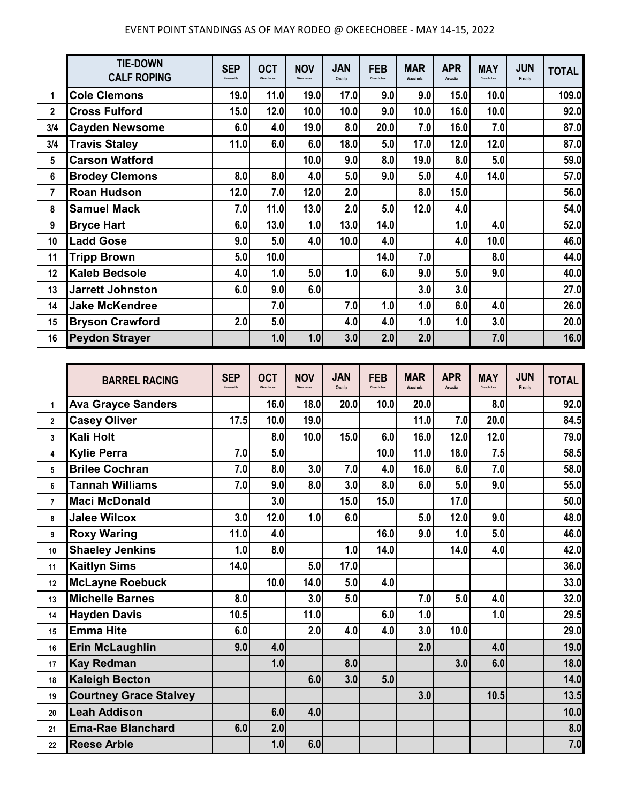|                | <b>TIE-DOWN</b><br><b>CALF ROPING</b> | <b>SEP</b><br>Kenansville | <b>OCT</b><br>Okeechobee | <b>NOV</b><br>Okeechobee | <b>JAN</b><br>Ocala | <b>FEB</b><br>Okeechobee | <b>MAR</b><br>Wauchula | <b>APR</b><br>Arcadia | <b>MAY</b><br>Okeechobee | <b>JUN</b><br><b>Finals</b> | <b>TOTAL</b> |
|----------------|---------------------------------------|---------------------------|--------------------------|--------------------------|---------------------|--------------------------|------------------------|-----------------------|--------------------------|-----------------------------|--------------|
| 1              | <b>Cole Clemons</b>                   | 19.0                      | 11.0                     | 19.0                     | 17.0                | 9.0                      | 9.0                    | 15.0                  | 10.0                     |                             | 109.0        |
| $\mathbf{2}$   | <b>Cross Fulford</b>                  | 15.0                      | 12.0                     | 10.0                     | 10.0                | 9.0                      | 10.0                   | 16.0                  | 10.0                     |                             | 92.0         |
| 3/4            | <b>Cayden Newsome</b>                 | 6.0                       | 4.0                      | 19.0                     | 8.0                 | 20.0                     | 7.0                    | 16.0                  | 7.0                      |                             | 87.0         |
| 3/4            | <b>Travis Staley</b>                  | 11.0                      | 6.0                      | 6.0                      | 18.0                | 5.0                      | 17.0                   | 12.0                  | 12.0                     |                             | 87.0         |
| 5              | <b>Carson Watford</b>                 |                           |                          | 10.0                     | 9.0                 | 8.0                      | 19.0                   | 8.0                   | 5.0                      |                             | 59.0         |
| 6              | <b>Brodey Clemons</b>                 | 8.0                       | 8.0                      | 4.0                      | 5.0                 | 9.0                      | 5.0                    | 4.0                   | 14.0                     |                             | 57.0         |
| $\overline{7}$ | <b>Roan Hudson</b>                    | 12.0                      | 7.0                      | 12.0                     | 2.0                 |                          | 8.0                    | 15.0                  |                          |                             | 56.0         |
| 8              | <b>Samuel Mack</b>                    | 7.0                       | 11.0                     | 13.0                     | 2.0                 | 5.0                      | 12.0                   | 4.0                   |                          |                             | 54.0         |
| 9              | <b>Bryce Hart</b>                     | 6.0                       | 13.0                     | 1.0                      | 13.0                | 14.0                     |                        | 1.0                   | 4.0                      |                             | 52.0         |
| 10             | <b>Ladd Gose</b>                      | 9.0                       | 5.0                      | 4.0                      | 10.0                | 4.0                      |                        | 4.0                   | 10.0                     |                             | 46.0         |
| 11             | <b>Tripp Brown</b>                    | 5.0                       | 10.0                     |                          |                     | 14.0                     | 7.0                    |                       | 8.0                      |                             | 44.0         |
| 12             | <b>Kaleb Bedsole</b>                  | 4.0                       | 1.0                      | 5.0                      | 1.0                 | 6.0                      | 9.0                    | 5.0                   | 9.0                      |                             | 40.0         |
| 13             | <b>Jarrett Johnston</b>               | 6.0                       | 9.0                      | 6.0                      |                     |                          | 3.0                    | 3.0                   |                          |                             | 27.0         |
| 14             | <b>Jake McKendree</b>                 |                           | 7.0                      |                          | 7.0                 | 1.0                      | 1.0                    | 6.0                   | 4.0                      |                             | 26.0         |
| 15             | <b>Bryson Crawford</b>                | 2.0                       | 5.0                      |                          | 4.0                 | 4.0                      | 1.0                    | 1.0                   | 3.0                      |                             | 20.0         |
| 16             | <b>Peydon Strayer</b>                 |                           | 1.0                      | 1.0                      | 3.0                 | 2.0                      | 2.0                    |                       | 7.0                      |                             | 16.0         |

|                | <b>BARREL RACING</b>          | <b>SEP</b><br>Kenansville | <b>OCT</b><br>Okeechober | <b>NOV</b><br>Okeachobea | <b>JAN</b><br>Ocala | <b>FEB</b><br>Okeechobee | <b>MAR</b><br>Wauchula | <b>APR</b><br>Arcadia | <b>MAY</b><br>Okeechobee | <b>JUN</b><br><b>Finals</b> | <b>TOTAL</b> |
|----------------|-------------------------------|---------------------------|--------------------------|--------------------------|---------------------|--------------------------|------------------------|-----------------------|--------------------------|-----------------------------|--------------|
| 1              | <b>Ava Grayce Sanders</b>     |                           | 16.0                     | 18.0                     | 20.0                | 10.0                     | 20.0                   |                       | 8.0                      |                             | 92.0         |
| $\overline{2}$ | <b>Casey Oliver</b>           | 17.5                      | 10.0                     | 19.0                     |                     |                          | 11.0                   | 7.0                   | 20.0                     |                             | 84.5         |
| $\mathbf{3}$   | Kali Holt                     |                           | 8.0                      | 10.0                     | 15.0                | 6.0                      | 16.0                   | 12.0                  | 12.0                     |                             | 79.0         |
| 4              | <b>Kylie Perra</b>            | 7.0                       | 5.0                      |                          |                     | 10.0                     | 11.0                   | 18.0                  | 7.5                      |                             | 58.5         |
| 5              | <b>Brilee Cochran</b>         | 7.0                       | 8.0                      | 3.0                      | 7.0                 | 4.0                      | 16.0                   | 6.0                   | 7.0                      |                             | 58.0         |
| 6              | <b>Tannah Williams</b>        | 7.0                       | 9.0                      | 8.0                      | 3.0                 | 8.0                      | 6.0                    | 5.0                   | 9.0                      |                             | 55.0         |
| $\overline{7}$ | <b>Maci McDonald</b>          |                           | 3.0                      |                          | 15.0                | 15.0                     |                        | 17.0                  |                          |                             | 50.0         |
| 8              | <b>Jalee Wilcox</b>           | 3.0                       | 12.0                     | 1.0                      | 6.0                 |                          | 5.0                    | 12.0                  | 9.0                      |                             | 48.0         |
| 9              | <b>Roxy Waring</b>            | 11.0                      | 4.0                      |                          |                     | 16.0                     | 9.0                    | 1.0                   | 5.0                      |                             | 46.0         |
| 10             | <b>Shaeley Jenkins</b>        | 1.0                       | 8.0                      |                          | 1.0                 | 14.0                     |                        | 14.0                  | 4.0                      |                             | 42.0         |
| 11             | <b>Kaitlyn Sims</b>           | 14.0                      |                          | 5.0                      | 17.0                |                          |                        |                       |                          |                             | 36.0         |
| 12             | <b>McLayne Roebuck</b>        |                           | 10.0                     | 14.0                     | 5.0                 | 4.0                      |                        |                       |                          |                             | 33.0         |
| 13             | <b>Michelle Barnes</b>        | 8.0                       |                          | 3.0                      | 5.0                 |                          | 7.0                    | 5.0                   | 4.0                      |                             | 32.0         |
| 14             | <b>Hayden Davis</b>           | 10.5                      |                          | 11.0                     |                     | 6.0                      | 1.0                    |                       | 1.0                      |                             | 29.5         |
| 15             | <b>Emma Hite</b>              | 6.0                       |                          | 2.0                      | 4.0                 | 4.0                      | 3.0                    | 10.0                  |                          |                             | 29.0         |
| 16             | <b>Erin McLaughlin</b>        | 9.0                       | 4.0                      |                          |                     |                          | 2.0                    |                       | 4.0                      |                             | 19.0         |
| 17             | <b>Kay Redman</b>             |                           | 1.0                      |                          | 8.0                 |                          |                        | 3.0                   | 6.0                      |                             | 18.0         |
| 18             | <b>Kaleigh Becton</b>         |                           |                          | 6.0                      | 3.0                 | 5.0                      |                        |                       |                          |                             | 14.0         |
| 19             | <b>Courtney Grace Stalvey</b> |                           |                          |                          |                     |                          | 3.0                    |                       | 10.5                     |                             | 13.5         |
| 20             | <b>Leah Addison</b>           |                           | 6.0                      | 4.0                      |                     |                          |                        |                       |                          |                             | 10.0         |
| 21             | <b>Ema-Rae Blanchard</b>      | 6.0                       | 2.0                      |                          |                     |                          |                        |                       |                          |                             | 8.0          |
| 22             | <b>Reese Arble</b>            |                           | 1.0                      | 6.0                      |                     |                          |                        |                       |                          |                             | 7.0          |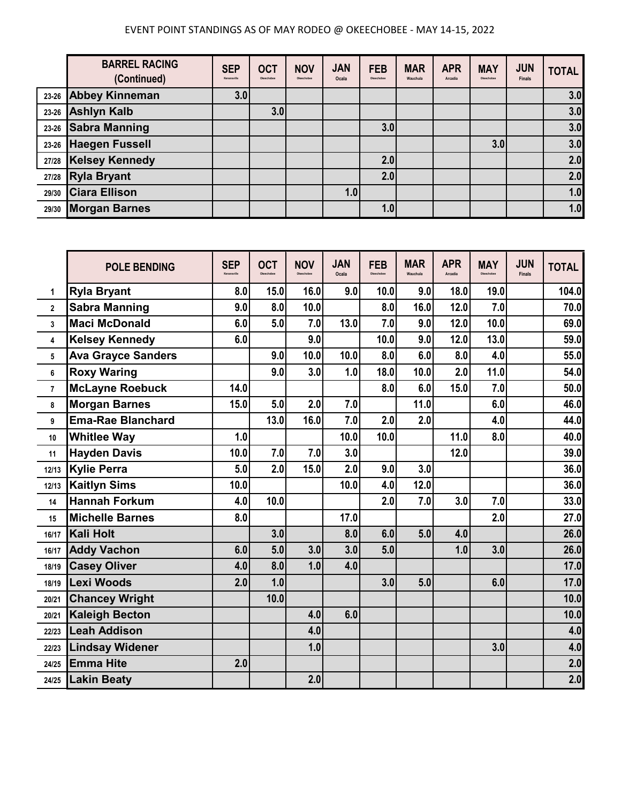|       | <b>BARREL RACING</b><br>(Continued) | <b>SEP</b><br>Kenansville | <b>OCT</b><br>Okeechobee | <b>NOV</b><br>Okeechobee | <b>JAN</b><br>Ocala | <b>FEB</b><br>Okeechobee | <b>MAR</b><br>Wauchula | <b>APR</b><br>Arcadia | <b>MAY</b><br>Okeechobee | <b>JUN</b><br><b>Finals</b> | <b>TOTAL</b> |
|-------|-------------------------------------|---------------------------|--------------------------|--------------------------|---------------------|--------------------------|------------------------|-----------------------|--------------------------|-----------------------------|--------------|
|       | 23-26 Abbey Kinneman                | 3.0                       |                          |                          |                     |                          |                        |                       |                          |                             | 3.0          |
| 23-26 | <b>Ashlyn Kalb</b>                  |                           | 3.0                      |                          |                     |                          |                        |                       |                          |                             | 3.0          |
|       | 23-26 Sabra Manning                 |                           |                          |                          |                     | 3.0                      |                        |                       |                          |                             | 3.0          |
|       | 23-26 Haegen Fussell                |                           |                          |                          |                     |                          |                        |                       | 3.0                      |                             | 3.0          |
| 27/28 | <b>Kelsey Kennedy</b>               |                           |                          |                          |                     | 2.0                      |                        |                       |                          |                             | 2.0          |
|       | 27/28 Ryla Bryant                   |                           |                          |                          |                     | 2.0                      |                        |                       |                          |                             | 2.0          |
| 29/30 | <b>Ciara Ellison</b>                |                           |                          |                          | 1.0                 |                          |                        |                       |                          |                             | 1.0          |
| 29/30 | <b>Morgan Barnes</b>                |                           |                          |                          |                     | 1.0                      |                        |                       |                          |                             | 1.0          |

|                | <b>POLE BENDING</b>       | <b>SEP</b><br>Kenansville | <b>OCT</b><br>Okeechobee | <b>NOV</b><br>Okeechobee | <b>JAN</b><br>Ocala | <b>FEB</b><br>Okeechobee | <b>MAR</b><br>Wauchula | <b>APR</b><br>Arcadia | <b>MAY</b><br>Okeechobee | <b>JUN</b><br><b>Finals</b> | <b>TOTAL</b> |
|----------------|---------------------------|---------------------------|--------------------------|--------------------------|---------------------|--------------------------|------------------------|-----------------------|--------------------------|-----------------------------|--------------|
| 1              | <b>Ryla Bryant</b>        | 8.0                       | 15.0                     | 16.0                     | 9.0                 | 10.0                     | 9.0                    | 18.0                  | 19.0                     |                             | 104.0        |
| $\overline{2}$ | <b>Sabra Manning</b>      | 9.0                       | 8.0                      | 10.0                     |                     | 8.0                      | 16.0                   | 12.0                  | 7.0                      |                             | 70.0         |
| 3              | <b>Maci McDonald</b>      | 6.0                       | 5.0                      | 7.0                      | 13.0                | 7.0                      | 9.0                    | 12.0                  | 10.0                     |                             | 69.0         |
| 4              | <b>Kelsey Kennedy</b>     | 6.0                       |                          | 9.0                      |                     | 10.0                     | 9.0                    | 12.0                  | 13.0                     |                             | 59.0         |
| 5              | <b>Ava Grayce Sanders</b> |                           | 9.0                      | 10.0                     | 10.0                | 8.0                      | 6.0                    | 8.0                   | 4.0                      |                             | 55.0         |
| 6              | <b>Roxy Waring</b>        |                           | 9.0                      | 3.0                      | 1.0                 | 18.0                     | 10.0                   | 2.0                   | 11.0                     |                             | 54.0         |
| $\overline{7}$ | <b>McLayne Roebuck</b>    | 14.0                      |                          |                          |                     | 8.0                      | 6.0                    | 15.0                  | 7.0                      |                             | 50.0         |
| 8              | <b>Morgan Barnes</b>      | 15.0                      | 5.0                      | 2.0                      | 7.0                 |                          | 11.0                   |                       | 6.0                      |                             | 46.0         |
| 9              | <b>Ema-Rae Blanchard</b>  |                           | 13.0                     | 16.0                     | 7.0                 | 2.0                      | 2.0                    |                       | 4.0                      |                             | 44.0         |
| 10             | <b>Whitlee Way</b>        | 1.0                       |                          |                          | 10.0                | 10.0                     |                        | 11.0                  | 8.0                      |                             | 40.0         |
| 11             | <b>Hayden Davis</b>       | 10.0                      | 7.0                      | 7.0                      | 3.0                 |                          |                        | 12.0                  |                          |                             | 39.0         |
| 12/13          | <b>Kylie Perra</b>        | 5.0                       | 2.0                      | 15.0                     | 2.0                 | 9.0                      | 3.0                    |                       |                          |                             | 36.0         |
| 12/13          | <b>Kaitlyn Sims</b>       | 10.0                      |                          |                          | 10.0                | 4.0                      | 12.0                   |                       |                          |                             | 36.0         |
| 14             | <b>Hannah Forkum</b>      | 4.0                       | 10.0                     |                          |                     | 2.0                      | 7.0                    | 3.0                   | 7.0                      |                             | 33.0         |
| 15             | <b>Michelle Barnes</b>    | 8.0                       |                          |                          | 17.0                |                          |                        |                       | 2.0                      |                             | 27.0         |
| 16/17          | <b>Kali Holt</b>          |                           | 3.0                      |                          | 8.0                 | 6.0                      | 5.0                    | 4.0                   |                          |                             | 26.0         |
| 16/17          | <b>Addy Vachon</b>        | 6.0                       | 5.0                      | 3.0                      | 3.0                 | 5.0                      |                        | 1.0                   | 3.0                      |                             | 26.0         |
| 18/19          | <b>Casey Oliver</b>       | 4.0                       | 8.0                      | 1.0                      | 4.0                 |                          |                        |                       |                          |                             | 17.0         |
| 18/19          | <b>Lexi Woods</b>         | 2.0                       | 1.0                      |                          |                     | 3.0                      | 5.0                    |                       | 6.0                      |                             | 17.0         |
| 20/21          | <b>Chancey Wright</b>     |                           | 10.0                     |                          |                     |                          |                        |                       |                          |                             | 10.0         |
| 20/21          | <b>Kaleigh Becton</b>     |                           |                          | 4.0                      | 6.0                 |                          |                        |                       |                          |                             | 10.0         |
| 22/23          | <b>Leah Addison</b>       |                           |                          | 4.0                      |                     |                          |                        |                       |                          |                             | 4.0          |
| 22/23          | <b>Lindsay Widener</b>    |                           |                          | 1.0                      |                     |                          |                        |                       | 3.0                      |                             | 4.0          |
| 24/25          | <b>Emma Hite</b>          | 2.0                       |                          |                          |                     |                          |                        |                       |                          |                             | 2.0          |
| 24/25          | <b>Lakin Beaty</b>        |                           |                          | 2.0                      |                     |                          |                        |                       |                          |                             | 2.0          |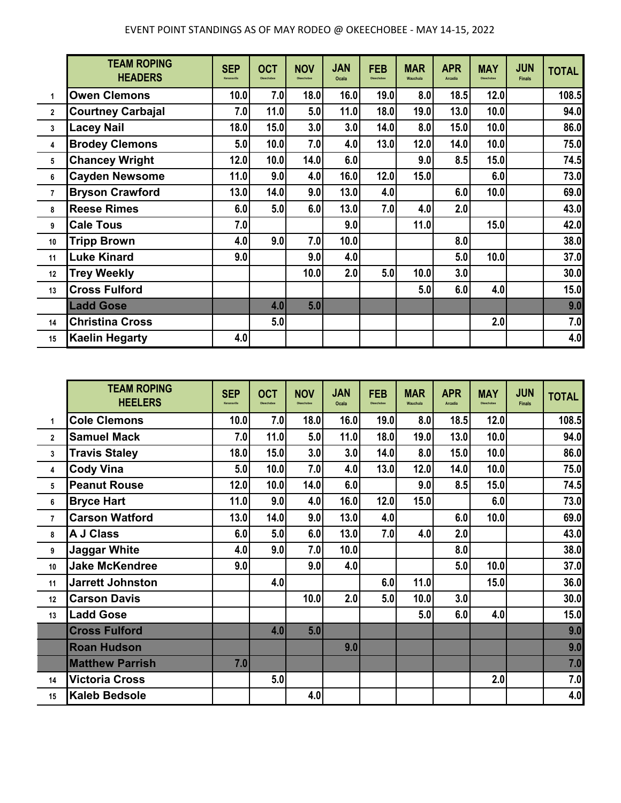|                | <b>TEAM ROPING</b><br><b>HEADERS</b> | <b>SEP</b><br>Kenansville | <b>OCT</b><br>Okeechobee | <b>NOV</b><br>Okeechobee | <b>JAN</b><br>Ocala | <b>FEB</b><br>Okeechobee | <b>MAR</b><br>Wauchula | <b>APR</b><br><b>Arcadia</b> | <b>MAY</b><br>Okeechobee | <b>JUN</b><br><b>Finals</b> | <b>TOTAL</b> |
|----------------|--------------------------------------|---------------------------|--------------------------|--------------------------|---------------------|--------------------------|------------------------|------------------------------|--------------------------|-----------------------------|--------------|
| $\mathbf{1}$   | <b>Owen Clemons</b>                  | 10.0                      | 7.0                      | 18.0                     | 16.0                | 19.0                     | 8.0                    | 18.5                         | 12.0                     |                             | 108.5        |
| $\overline{2}$ | <b>Courtney Carbajal</b>             | 7.0                       | 11.0                     | 5.0                      | 11.0                | 18.0                     | 19.0                   | 13.0                         | 10.0                     |                             | 94.0         |
| 3              | Lacey Nail                           | 18.0                      | 15.0                     | 3.0                      | 3.0                 | 14.0                     | 8.0                    | 15.0                         | 10.0                     |                             | 86.0         |
| 4              | <b>Brodey Clemons</b>                | 5.0                       | 10.0                     | 7.0                      | 4.0                 | 13.0                     | 12.0                   | 14.0                         | 10.0                     |                             | 75.0         |
| 5              | <b>Chancey Wright</b>                | 12.0                      | 10.0                     | 14.0                     | 6.0                 |                          | 9.0                    | 8.5                          | 15.0                     |                             | 74.5         |
| 6              | <b>Cayden Newsome</b>                | 11.0                      | 9.0                      | 4.0                      | 16.0                | 12.0                     | 15.0                   |                              | 6.0                      |                             | 73.0         |
| $\overline{7}$ | <b>Bryson Crawford</b>               | 13.0                      | 14.0                     | 9.0                      | 13.0                | 4.0                      |                        | 6.0                          | 10.0                     |                             | 69.0         |
| 8              | <b>Reese Rimes</b>                   | 6.0                       | 5.0                      | 6.0                      | 13.0                | 7.0                      | 4.0                    | 2.0                          |                          |                             | 43.0         |
| 9              | <b>Cale Tous</b>                     | 7.0                       |                          |                          | 9.0                 |                          | 11.0                   |                              | 15.0                     |                             | 42.0         |
| 10             | <b>Tripp Brown</b>                   | 4.0                       | 9.0                      | 7.0                      | 10.0                |                          |                        | 8.0                          |                          |                             | 38.0         |
| 11             | <b>Luke Kinard</b>                   | 9.0                       |                          | 9.0                      | 4.0                 |                          |                        | 5.0                          | 10.0                     |                             | 37.0         |
| 12             | <b>Trey Weekly</b>                   |                           |                          | 10.0                     | 2.0                 | 5.0                      | 10.0                   | 3.0                          |                          |                             | 30.0         |
| 13             | <b>Cross Fulford</b>                 |                           |                          |                          |                     |                          | 5.0                    | 6.0                          | 4.0                      |                             | 15.0         |
|                | <b>Ladd Gose</b>                     |                           | 4.0                      | 5.0                      |                     |                          |                        |                              |                          |                             | 9.0          |
| 14             | <b>Christina Cross</b>               |                           | 5.0                      |                          |                     |                          |                        |                              | 2.0                      |                             | 7.0          |
| 15             | <b>Kaelin Hegarty</b>                | 4.0                       |                          |                          |                     |                          |                        |                              |                          |                             | 4.0          |

|                 | <b>TEAM ROPING</b><br><b>HEELERS</b> | <b>SEP</b><br>Kenansville | <b>OCT</b><br>Okeechobee | <b>NOV</b><br>Okeechobee | <b>JAN</b><br>Ocala | <b>FEB</b><br>Okeechobee | <b>MAR</b><br>Wauchula | <b>APR</b><br><b>Arcadia</b> | <b>MAY</b><br>Okeechobee | <b>JUN</b><br><b>Finals</b> | <b>TOTAL</b> |
|-----------------|--------------------------------------|---------------------------|--------------------------|--------------------------|---------------------|--------------------------|------------------------|------------------------------|--------------------------|-----------------------------|--------------|
| $\mathbf{1}$    | <b>Cole Clemons</b>                  | 10.0                      | 7.0                      | 18.0                     | 16.0                | 19.0                     | 8.0                    | 18.5                         | 12.0                     |                             | 108.5        |
| $\overline{2}$  | <b>Samuel Mack</b>                   | 7.0                       | 11.0                     | 5.0                      | 11.0                | 18.0                     | 19.0                   | 13.0                         | 10.0                     |                             | 94.0         |
| $\mathbf 3$     | <b>Travis Staley</b>                 | 18.0                      | 15.0                     | 3.0                      | 3.0                 | 14.0                     | 8.0                    | 15.0                         | 10.0                     |                             | 86.0         |
| 4               | <b>Cody Vina</b>                     | 5.0                       | 10.0                     | 7.0                      | 4.0                 | 13.0                     | 12.0                   | 14.0                         | 10.0                     |                             | 75.0         |
| 5               | <b>Peanut Rouse</b>                  | 12.0                      | 10.0                     | 14.0                     | 6.0                 |                          | 9.0                    | 8.5                          | 15.0                     |                             | 74.5         |
| $6\phantom{1}6$ | <b>Bryce Hart</b>                    | 11.0                      | 9.0                      | 4.0                      | 16.0                | 12.0                     | 15.0                   |                              | 6.0                      |                             | 73.0         |
| $\overline{7}$  | <b>Carson Watford</b>                | 13.0                      | 14.0                     | 9.0                      | 13.0                | 4.0                      |                        | 6.0                          | 10.0                     |                             | 69.0         |
| 8               | <b>A J Class</b>                     | 6.0                       | 5.0                      | 6.0                      | 13.0                | 7.0                      | 4.0                    | 2.0                          |                          |                             | 43.0         |
| 9               | <b>Jaggar White</b>                  | 4.0                       | 9.0                      | 7.0                      | 10.0                |                          |                        | 8.0                          |                          |                             | 38.0         |
| 10              | <b>Jake McKendree</b>                | 9.0                       |                          | 9.0                      | 4.0                 |                          |                        | 5.0                          | 10.0                     |                             | 37.0         |
| 11              | <b>Jarrett Johnston</b>              |                           | 4.0                      |                          |                     | 6.0                      | 11.0                   |                              | 15.0                     |                             | 36.0         |
| 12              | <b>Carson Davis</b>                  |                           |                          | 10.0                     | 2.0                 | 5.0                      | 10.0                   | 3.0                          |                          |                             | 30.0         |
| 13              | <b>Ladd Gose</b>                     |                           |                          |                          |                     |                          | 5.0                    | 6.0                          | 4.0                      |                             | 15.0         |
|                 | <b>Cross Fulford</b>                 |                           | 4.0                      | 5.0                      |                     |                          |                        |                              |                          |                             | 9.0          |
|                 | <b>Roan Hudson</b>                   |                           |                          |                          | 9.0                 |                          |                        |                              |                          |                             | 9.0          |
|                 | <b>Matthew Parrish</b>               | 7.0                       |                          |                          |                     |                          |                        |                              |                          |                             | 7.0          |
| 14              | <b>Victoria Cross</b>                |                           | 5.0                      |                          |                     |                          |                        |                              | 2.0                      |                             | 7.0          |
| 15              | <b>Kaleb Bedsole</b>                 |                           |                          | 4.0                      |                     |                          |                        |                              |                          |                             | 4.0          |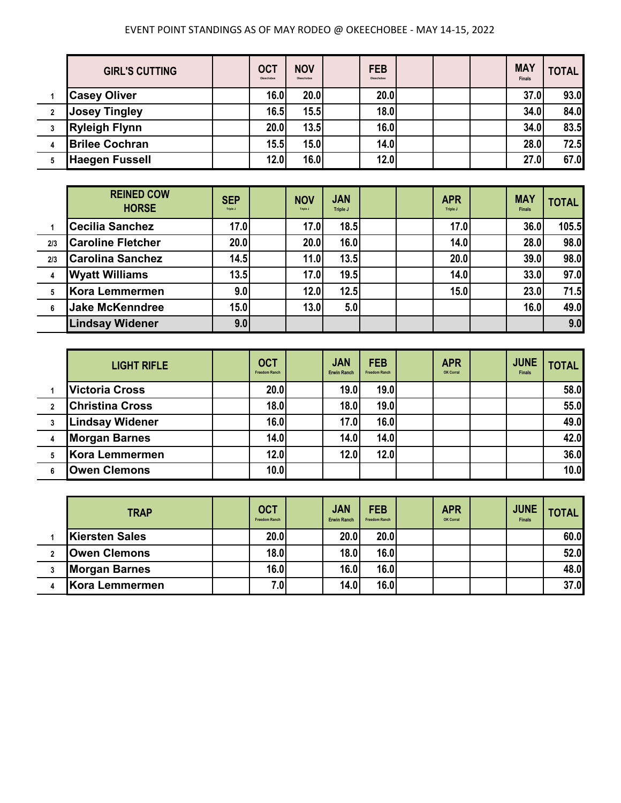|              | <b>GIRL'S CUTTING</b> | <b>OCT</b><br>Okeechobee | <b>NOV</b><br>Okeechobee | <b>FEB</b><br>Okeechobee |  | <b>MAY</b><br><b>Finals</b> | <b>TOTAL</b> |
|--------------|-----------------------|--------------------------|--------------------------|--------------------------|--|-----------------------------|--------------|
|              | <b>Casey Oliver</b>   | 16.0                     | 20.0                     | 20.0                     |  | 37.0                        | 93.0         |
| $\mathbf{2}$ | <b>Josey Tingley</b>  | 16.5                     | 15.5                     | 18.0                     |  | 34.0                        | 84.0         |
| 3            | <b>Ryleigh Flynn</b>  | 20.0                     | 13.5                     | 16.0                     |  | 34.0                        | 83.5         |
|              | <b>Brilee Cochran</b> | 15.5                     | 15.0                     | 14.0                     |  | 28.0                        | <b>72.5</b>  |
|              | <b>Haegen Fussell</b> | 12.0                     | 16.0                     | 12.0                     |  | 27.0                        | 67.0         |

|     | <b>REINED COW</b><br><b>HORSE</b> | <b>SEP</b><br>Triple J | <b>NOV</b><br>Triple J | <b>JAN</b><br>Triple J |  | <b>APR</b><br>Triple J | <b>MAY</b><br><b>Finals</b> | <b>TOTAL</b> |
|-----|-----------------------------------|------------------------|------------------------|------------------------|--|------------------------|-----------------------------|--------------|
|     | <b>Cecilia Sanchez</b>            | 17.0                   | 17.0                   | 18.5                   |  | 17.0                   | 36.0                        | 105.5        |
| 2/3 | <b>Caroline Fletcher</b>          | 20.0                   | 20.0                   | 16.0                   |  | 14.0                   | 28.0                        | 98.0         |
| 2/3 | <b>Carolina Sanchez</b>           | 14.5                   | 11.0                   | 13.5                   |  | 20.0                   | 39.0                        | 98.0         |
| 4   | <b>Wyatt Williams</b>             | 13.5                   | 17.0                   | 19.5                   |  | 14.0                   | 33.0                        | 97.0         |
| 5   | Kora Lemmermen                    | 9.0                    | 12.0                   | 12.5                   |  | 15.0                   | 23.0                        | 71.5         |
| 6   | <b>Jake McKenndree</b>            | 15.0                   | 13.0                   | 5.0                    |  |                        | 16.0                        | 49.0         |
|     | <b>Lindsay Widener</b>            | 9.0                    |                        |                        |  |                        |                             | 9.0          |

|                | <b>LIGHT RIFLE</b>     | <b>OCT</b><br><b>Freedom Ranch</b> | <b>JAN</b><br><b>Erwin Ranch</b> | <b>FEB</b><br><b>Freedom Ranch</b> | <b>APR</b><br>OK Corral | <b>JUNE</b><br><b>Finals</b> | <b>TOTAL</b> |
|----------------|------------------------|------------------------------------|----------------------------------|------------------------------------|-------------------------|------------------------------|--------------|
|                | <b>Victoria Cross</b>  | 20.0                               | 19.0                             | 19.0                               |                         |                              | 58.0         |
| $\overline{2}$ | <b>Christina Cross</b> | 18.0                               | 18.0                             | 19.0                               |                         |                              | 55.0         |
|                | <b>Lindsay Widener</b> | 16.0                               | 17.0                             | 16.0                               |                         |                              | 49.0         |
|                | <b>Morgan Barnes</b>   | 14.0                               | 14.0                             | 14.0                               |                         |                              | 42.0         |
| 5              | Kora Lemmermen         | 12.0                               | 12.0                             | 12.0                               |                         |                              | 36.0         |
|                | <b>Owen Clemons</b>    | 10.0                               |                                  |                                    |                         |                              | 10.0         |

| <b>TRAP</b>           | <b>OCT</b><br><b>Freedom Ranch</b> | <b>JAN</b><br><b>Erwin Ranch</b> | <b>FEB</b><br><b>Freedom Ranch</b> | <b>APR</b><br>OK Corral | <b>JUNE</b><br><b>Finals</b> | <b>TOTAL</b> |
|-----------------------|------------------------------------|----------------------------------|------------------------------------|-------------------------|------------------------------|--------------|
| <b>Kiersten Sales</b> | 20.0                               |                                  | 20.0<br>20.0                       |                         |                              | 60.0         |
| <b>Owen Clemons</b>   | 18.0                               |                                  | 18.0<br>16.0                       |                         |                              | 52.0         |
| <b>Morgan Barnes</b>  | 16.0                               |                                  | 16.0<br>16.0                       |                         |                              | 48.0         |
| Kora Lemmermen        | 7.0                                |                                  | 16.0<br>14.0                       |                         |                              | 37.0         |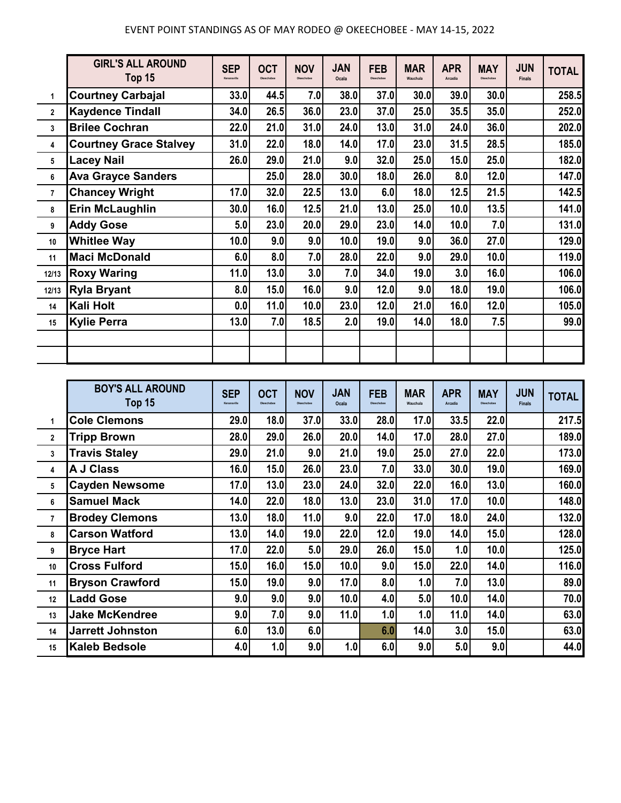|                | <b>GIRL'S ALL AROUND</b><br>Top 15 | <b>SEP</b><br>Kenansville | <b>OCT</b><br>Okeechobee | <b>NOV</b><br>Okeechobee | <b>JAN</b><br>Ocala | <b>FEB</b><br>Okeechobee | <b>MAR</b><br>Wauchula | <b>APR</b><br>Arcadia | <b>MAY</b><br>Okeechobee | <b>JUN</b><br><b>Finals</b> | <b>TOTAL</b> |
|----------------|------------------------------------|---------------------------|--------------------------|--------------------------|---------------------|--------------------------|------------------------|-----------------------|--------------------------|-----------------------------|--------------|
| 1              | <b>Courtney Carbajal</b>           | 33.0                      | 44.5                     | 7.0                      | 38.0                | 37.0                     | 30.0                   | 39.0                  | 30.0                     |                             | 258.5        |
| $\mathbf{2}$   | <b>Kaydence Tindall</b>            | 34.0                      | 26.5                     | 36.0                     | 23.0                | 37.0                     | 25.0                   | 35.5                  | 35.0                     |                             | 252.0        |
| 3              | <b>Brilee Cochran</b>              | 22.0                      | 21.0                     | 31.0                     | 24.0                | 13.0                     | 31.0                   | 24.0                  | 36.0                     |                             | 202.0        |
| 4              | <b>Courtney Grace Stalvey</b>      | 31.0                      | 22.0                     | 18.0                     | 14.0                | 17.0                     | 23.0                   | 31.5                  | 28.5                     |                             | 185.0        |
| 5              | <b>Lacey Nail</b>                  | 26.0                      | 29.0                     | 21.0                     | 9.0                 | 32.0                     | 25.0                   | 15.0                  | 25.0                     |                             | 182.0        |
| 6              | <b>Ava Grayce Sanders</b>          |                           | 25.0                     | 28.0                     | 30.0                | 18.0                     | 26.0                   | 8.0                   | 12.0                     |                             | 147.0        |
| $\overline{7}$ | <b>Chancey Wright</b>              | 17.0                      | 32.0                     | 22.5                     | 13.0                | 6.0                      | 18.0                   | 12.5                  | 21.5                     |                             | 142.5        |
| 8              | <b>Erin McLaughlin</b>             | 30.0                      | 16.0                     | 12.5                     | 21.0                | 13.0                     | 25.0                   | 10.0                  | 13.5                     |                             | 141.0        |
| 9              | <b>Addy Gose</b>                   | 5.0                       | 23.0                     | 20.0                     | 29.0                | 23.0                     | 14.0                   | 10.0                  | 7.0                      |                             | 131.0        |
| 10             | <b>Whitlee Way</b>                 | 10.0                      | 9.0                      | 9.0                      | 10.0                | 19.0                     | 9.0                    | 36.0                  | 27.0                     |                             | 129.0        |
| 11             | <b>Maci McDonald</b>               | 6.0                       | 8.0                      | 7.0                      | 28.0                | 22.0                     | 9.0                    | 29.0                  | 10.0                     |                             | 119.0        |
| 12/13          | <b>Roxy Waring</b>                 | 11.0                      | 13.0                     | 3.0                      | 7.0                 | 34.0                     | 19.0                   | 3.0                   | 16.0                     |                             | 106.0        |
| 12/13          | <b>Ryla Bryant</b>                 | 8.0                       | 15.0                     | 16.0                     | 9.0                 | 12.0                     | 9.0                    | 18.0                  | 19.0                     |                             | 106.0        |
| 14             | Kali Holt                          | 0.0                       | 11.0                     | 10.0                     | 23.0                | 12.0                     | 21.0                   | 16.0                  | 12.0                     |                             | 105.0        |
| 15             | <b>Kylie Perra</b>                 | 13.0                      | 7.0                      | 18.5                     | 2.0                 | 19.0                     | 14.0                   | 18.0                  | 7.5                      |                             | 99.0         |
|                |                                    |                           |                          |                          |                     |                          |                        |                       |                          |                             |              |
|                |                                    |                           |                          |                          |                     |                          |                        |                       |                          |                             |              |

|                | <b>BOY'S ALL AROUND</b><br>Top 15 | <b>SEP</b><br>Kenansville | <b>OCT</b><br>Okeechobee | <b>NOV</b><br>Okeechobee | <b>JAN</b><br>Ocala | <b>FEB</b><br>Okeechobee | <b>MAR</b><br>Wauchula | <b>APR</b><br>Arcadia | <b>MAY</b><br>Okeechobee | <b>JUN</b><br><b>Finals</b> | <b>TOTAL</b> |
|----------------|-----------------------------------|---------------------------|--------------------------|--------------------------|---------------------|--------------------------|------------------------|-----------------------|--------------------------|-----------------------------|--------------|
| 1              | <b>Cole Clemons</b>               | 29.0                      | 18.0                     | 37.0                     | 33.0                | 28.0                     | 17.0                   | 33.5                  | 22.0                     |                             | 217.5        |
| $\mathbf{2}$   | <b>Tripp Brown</b>                | 28.0                      | 29.0                     | 26.0                     | 20.0                | 14.0                     | 17.0                   | 28.0                  | 27.0                     |                             | 189.0        |
| 3              | <b>Travis Staley</b>              | 29.0                      | 21.0                     | 9.0                      | 21.0                | 19.0                     | 25.0                   | 27.0                  | 22.0                     |                             | 173.0        |
| 4              | <b>A J Class</b>                  | 16.0                      | 15.0                     | 26.0                     | 23.0                | 7.0                      | 33.0                   | 30.0                  | 19.0                     |                             | 169.0        |
| 5              | <b>Cayden Newsome</b>             | 17.0                      | 13.0                     | 23.0                     | 24.0                | 32.0                     | 22.0                   | 16.0                  | 13.0                     |                             | 160.0        |
| 6              | <b>Samuel Mack</b>                | <b>14.0</b>               | 22.0                     | 18.0                     | 13.0                | 23.0                     | 31.0                   | 17.0                  | 10.0                     |                             | 148.0        |
| $\overline{7}$ | <b>Brodey Clemons</b>             | 13.0                      | 18.0                     | 11.0                     | 9.0                 | 22.0                     | 17.0                   | 18.0                  | 24.0                     |                             | 132.0        |
| 8              | <b>Carson Watford</b>             | 13.0                      | 14.0                     | 19.0                     | 22.0                | 12.0                     | 19.0                   | 14.0                  | 15.0                     |                             | 128.0        |
| 9              | <b>Bryce Hart</b>                 | 17.0                      | 22.0                     | 5.0                      | 29.0                | 26.0                     | 15.0                   | 1.0                   | 10.0                     |                             | 125.0        |
| 10             | <b>Cross Fulford</b>              | 15.0                      | 16.0                     | 15.0                     | 10.0                | 9.0                      | 15.0                   | 22.0                  | 14.0                     |                             | 116.0        |
| 11             | <b>Bryson Crawford</b>            | 15.0                      | 19.0                     | 9.0                      | 17.0                | 8.0                      | 1.0                    | 7.0                   | 13.0                     |                             | 89.0         |
| 12             | <b>Ladd Gose</b>                  | 9.0                       | 9.0                      | 9.0                      | 10.0                | 4.0                      | 5.0                    | 10.0                  | 14.0                     |                             | 70.0         |
| 13             | <b>Jake McKendree</b>             | 9.0                       | 7.0                      | 9.0                      | 11.0                | 1.0                      | 1.0                    | 11.0                  | 14.0                     |                             | 63.0         |
| 14             | <b>Jarrett Johnston</b>           | 6.0                       | 13.0                     | 6.0                      |                     | 6.0                      | 14.0                   | 3.0                   | 15.0                     |                             | 63.0         |
| 15             | <b>Kaleb Bedsole</b>              | 4.0                       | 1.0                      | 9.0                      | 1.0                 | 6.0                      | 9.0                    | 5.0                   | 9.0                      |                             | 44.0         |